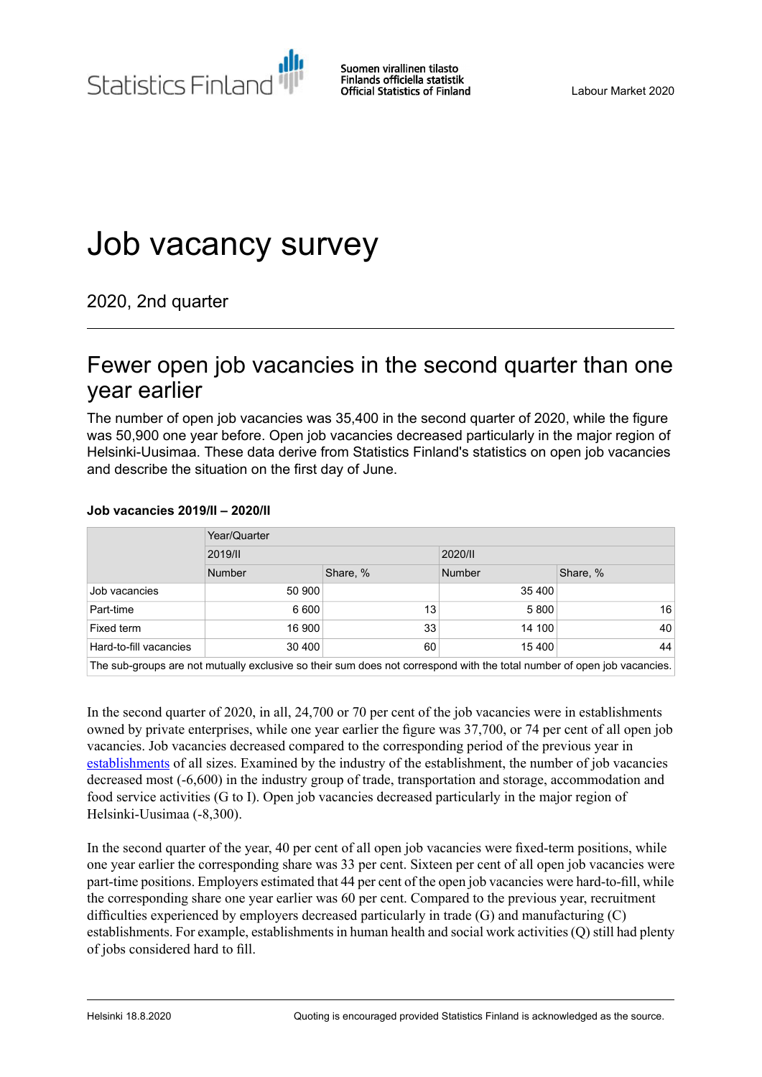Statistics Finland

Suomen virallinen tilasto Finlands officiella statistik **Official Statistics of Finland** 

# Job vacancy survey

2020, 2nd quarter

# Fewer open job vacancies in the second quarter than one year earlier

The number of open job vacancies was 35,400 in the second quarter of 2020, while the figure was 50,900 one year before. Open job vacancies decreased particularly in the major region of Helsinki-Uusimaa. These data derive from Statistics Finland's statistics on open job vacancies and describe the situation on the first day of June.

#### **Job vacancies 2019/II – 2020/II**

|                        | Year/Quarter |          |               |          |  |
|------------------------|--------------|----------|---------------|----------|--|
|                        | 2019/11      |          | 2020/11       |          |  |
|                        | Number       | Share, % | <b>Number</b> | Share, % |  |
| Job vacancies          | 50 900       |          | 35 400        |          |  |
| Part-time              | 6 600        | 13       | 5800          | 16       |  |
| Fixed term             | 16 900       | 33       | 14 100        | 40       |  |
| Hard-to-fill vacancies | 30 400       | 60       | 15 400        | 44       |  |
|                        |              |          |               |          |  |

The sub-groups are not mutually exclusive so their sum does not correspond with the total number of open job vacancies.

In the second quarter of 2020, in all, 24,700 or 70 per cent of the job vacancies were in establishments owned by private enterprises, while one year earlier the figure was 37,700, or 74 per cent of all open job vacancies. Job vacancies decreased compared to the corresponding period of the previous year in [establishments](http://tilastokeskus.fi/til/atp/kas_en.html) of all sizes. Examined by the industry of the establishment, the number of job vacancies decreased most (-6,600) in the industry group of trade, transportation and storage, accommodation and food service activities (G to I). Open job vacancies decreased particularly in the major region of Helsinki-Uusimaa (-8,300).

In the second quarter of the year, 40 per cent of all open job vacancies were fixed-term positions, while one year earlier the corresponding share was 33 per cent. Sixteen per cent of all open job vacancies were part-time positions. Employers estimated that 44 per cent of the open job vacancies were hard-to-fill, while the corresponding share one year earlier was 60 per cent. Compared to the previous year, recruitment difficulties experienced by employers decreased particularly in trade (G) and manufacturing (C) establishments. For example, establishments in human health and social work activities (Q) still had plenty of jobs considered hard to fill.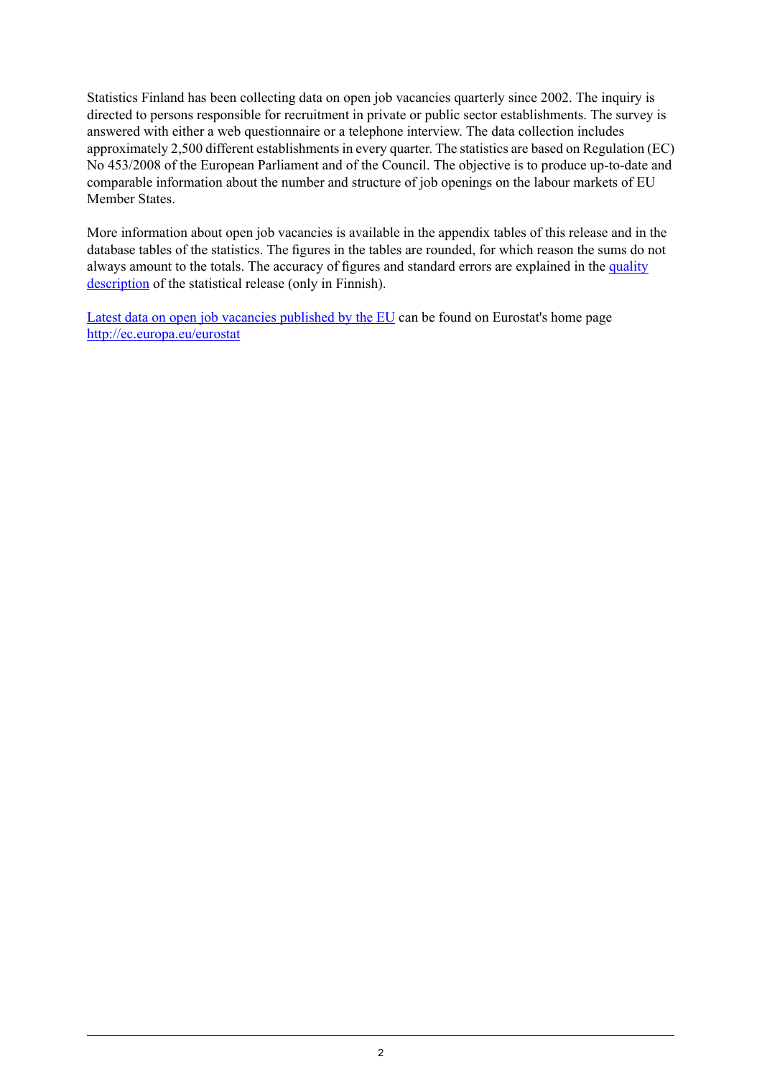Statistics Finland has been collecting data on open job vacancies quarterly since 2002. The inquiry is directed to persons responsible for recruitment in private or public sector establishments. The survey is answered with either a web questionnaire or a telephone interview. The data collection includes approximately 2,500 different establishments in every quarter. The statistics are based on Regulation (EC) No 453/2008 of the European Parliament and of the Council. The objective is to produce up-to-date and comparable information about the number and structure of job openings on the labour markets of EU Member States.

More information about open job vacancies is available in the appendix tables of this release and in the database tables of the statistics. The figures in the tables are rounded, for which reason the sums do not always amount to the totals. The accuracy of figures and standard errors are explained in the [quality](http://tilastokeskus.fi/til/atp/2020/02/atp_2020_02_2020-08-18_laa_001_fi.html#3.Tietojenoikeellisuusjatarkkuus) [description](http://tilastokeskus.fi/til/atp/2020/02/atp_2020_02_2020-08-18_laa_001_fi.html#3.Tietojenoikeellisuusjatarkkuus) of the statistical release (only in Finnish).

Latest data on open job vacancies [published](https://ec.europa.eu/eurostat/documents/2995521/10294936/3-16062020-BP-EN.pdf/82b1ecb0-aae1-232e-fba3-a6a05f1c0d93) by the EU can be found on Eurostat's home page <http://ec.europa.eu/eurostat>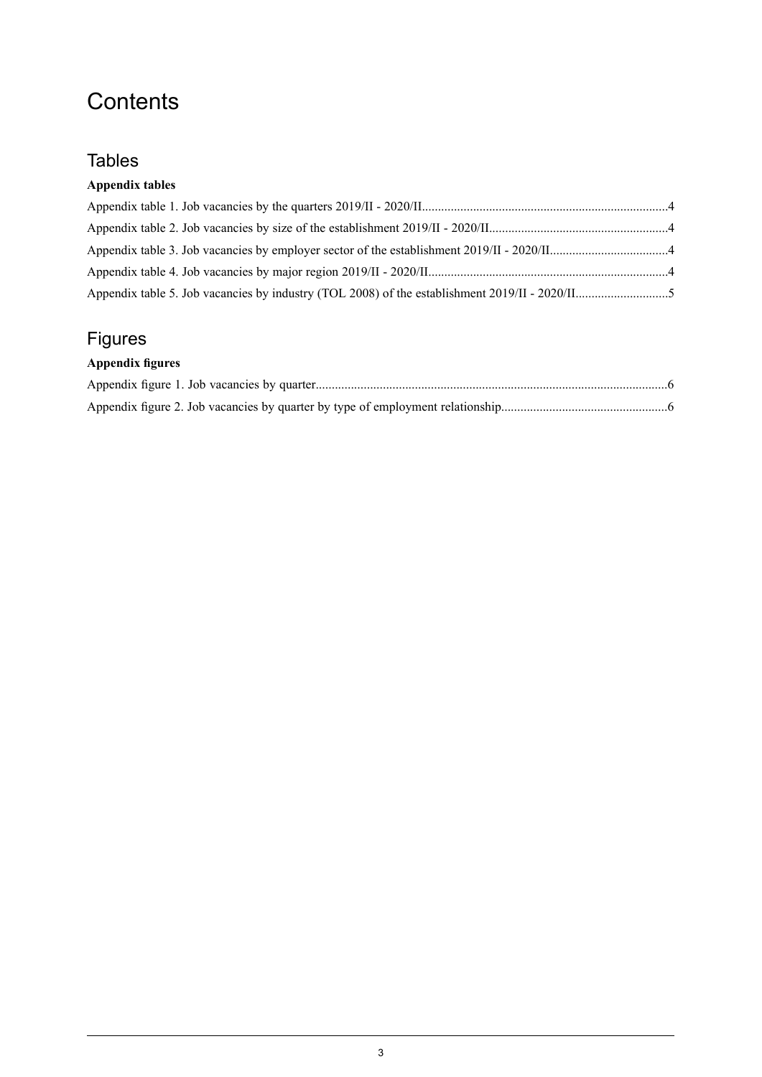# **Contents**

## **Tables**

### **Appendix tables**

# Figures

### **Appendix figures**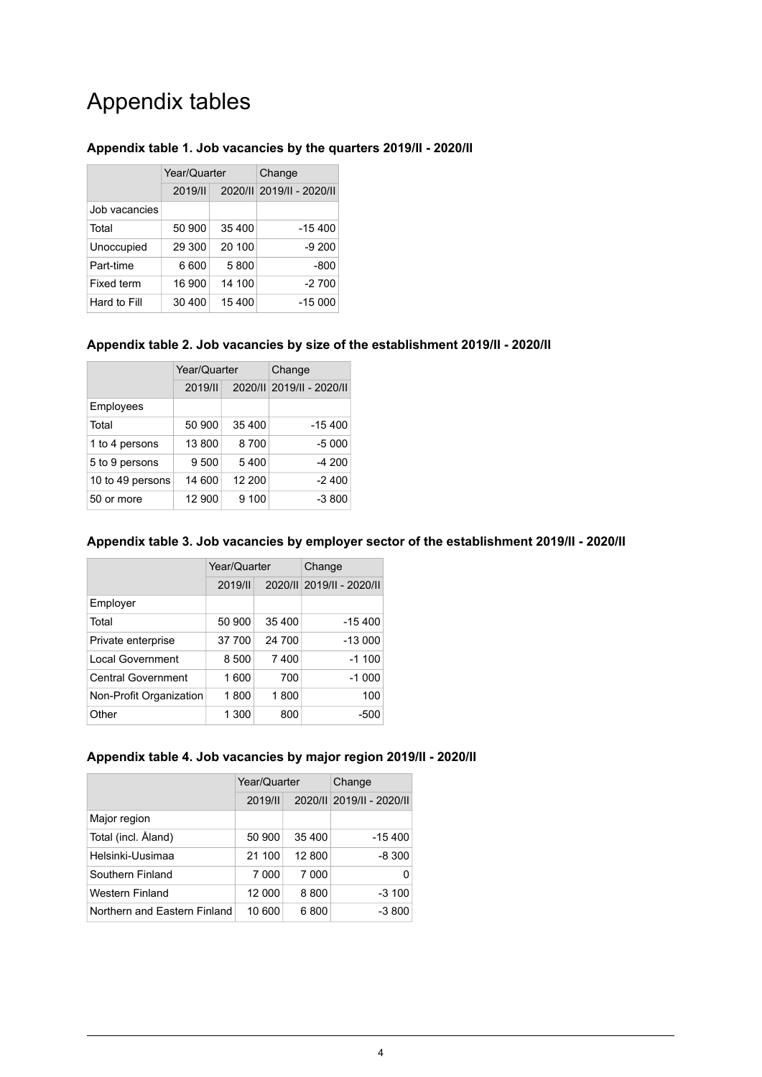# Appendix tables

### <span id="page-3-0"></span>**Appendix table 1. Job vacancies by the quarters 2019/II - 2020/II**

|               | Year/Quarter |        | Change                    |  |
|---------------|--------------|--------|---------------------------|--|
|               | 2019/1       |        | 2020/II 2019/II - 2020/II |  |
| Job vacancies |              |        |                           |  |
| Total         | 50 900       | 35 400 | $-15400$                  |  |
| Unoccupied    | 29 300       | 20 100 | $-9200$                   |  |
| Part-time     | 6600         | 5800   | -800                      |  |
| Fixed term    | 16 900       | 14 100 | $-2700$                   |  |
| Hard to Fill  | 30 400       | 15 400 | $-15000$                  |  |

### <span id="page-3-1"></span>**Appendix table 2. Job vacancies by size of the establishment 2019/II - 2020/II**

|                  | Year/Quarter |        | Change                    |  |
|------------------|--------------|--------|---------------------------|--|
|                  | 2019/1       |        | 2020/II 2019/II - 2020/II |  |
| Employees        |              |        |                           |  |
| Total            | 50 900       | 35 400 | $-15400$                  |  |
| 1 to 4 persons   | 13 800       | 8700   | $-5000$                   |  |
| 5 to 9 persons   | 9 500        | 5400   | $-4200$                   |  |
| 10 to 49 persons | 14 600       | 12 200 | $-2400$                   |  |
| 50 or more       | 12 900       | 9 100  | $-3800$                   |  |

### <span id="page-3-2"></span>**Appendix table 3. Job vacancies by employer sector of the establishment 2019/II - 2020/II**

|                           | Year/Quarter |        | Change                    |  |
|---------------------------|--------------|--------|---------------------------|--|
|                           | 2019/1       |        | 2020/II 2019/II - 2020/II |  |
| Employer                  |              |        |                           |  |
| Total                     | 50 900       | 35 400 | $-15400$                  |  |
| Private enterprise        | 37 700       | 24 700 | $-13000$                  |  |
| <b>Local Government</b>   | 8 500        | 7400   | $-1100$                   |  |
| <b>Central Government</b> | 1 600        | 700    | $-1000$                   |  |
| Non-Profit Organization   | 1800         | 1800   | 100                       |  |
| Other                     | 1 300        | 800    | -500                      |  |

### <span id="page-3-3"></span>**Appendix table 4. Job vacancies by major region 2019/II - 2020/II**

|                              | Year/Quarter |        | Change                    |  |
|------------------------------|--------------|--------|---------------------------|--|
|                              | 2019/1       |        | 2020/II 2019/II - 2020/II |  |
| Major region                 |              |        |                           |  |
| Total (incl. Aland)          | 50 900       | 35 400 | $-15,400$                 |  |
| Helsinki-Uusimaa             | 21 100       | 12 800 | $-8300$                   |  |
| Southern Finland             | 7 000        | 7 000  |                           |  |
| Western Finland              | 12 000       | 8800   | $-3100$                   |  |
| Northern and Eastern Finland | 10 600       | 6800   | $-3800$                   |  |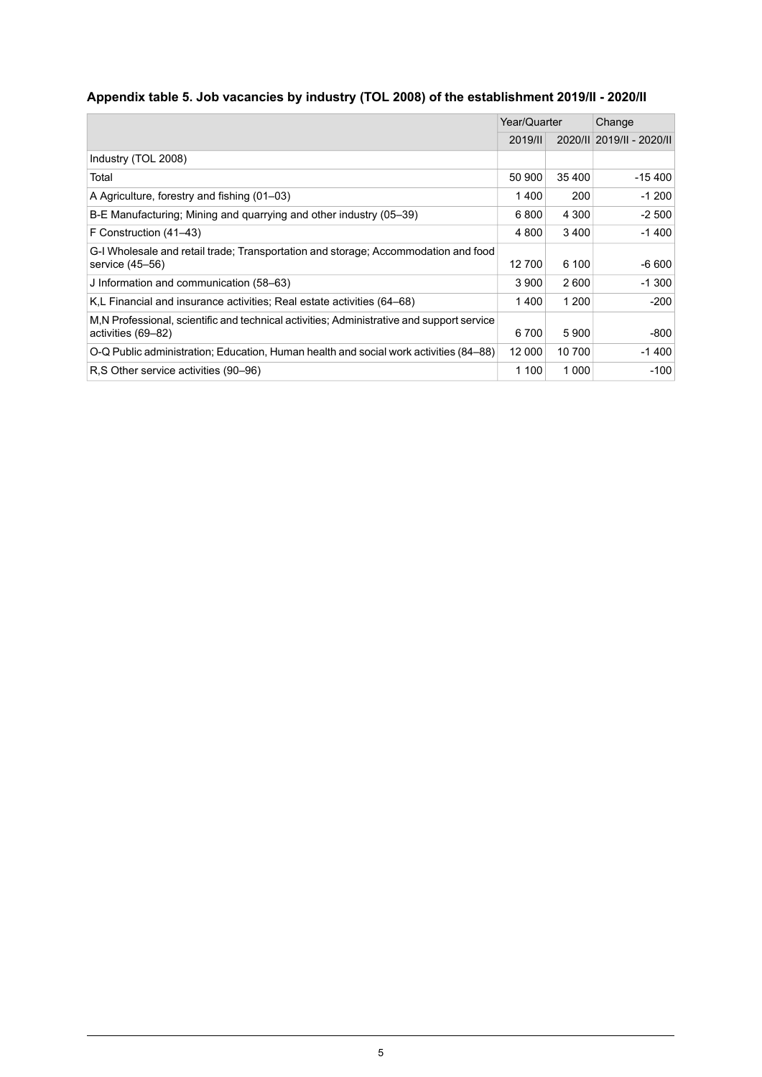### <span id="page-4-0"></span>**Appendix table 5. Job vacancies by industry (TOL 2008) of the establishment 2019/II - 2020/II**

|                                                                                                                 | Year/Quarter |         | Change                    |  |
|-----------------------------------------------------------------------------------------------------------------|--------------|---------|---------------------------|--|
|                                                                                                                 | 2019/1       |         | 2020/II 2019/II - 2020/II |  |
| Industry (TOL 2008)                                                                                             |              |         |                           |  |
| Total                                                                                                           | 50 900       | 35 400  | $-15,400$                 |  |
| A Agriculture, forestry and fishing (01–03)                                                                     | 1400         | 200     | $-1200$                   |  |
| B-E Manufacturing; Mining and quarrying and other industry (05–39)                                              | 6800         | 4 3 0 0 | $-2500$                   |  |
| F Construction (41–43)                                                                                          | 4 800        | 3400    | $-1400$                   |  |
| G-I Wholesale and retail trade; Transportation and storage; Accommodation and food<br>service (45–56)           | 12 700       | 6 100   | $-6600$                   |  |
| J Information and communication (58–63)                                                                         | 3 9 0 0      | 2600    | $-1300$                   |  |
| K.L Financial and insurance activities: Real estate activities (64–68)                                          | 1400         | 1 200   | $-200$                    |  |
| M.N Professional, scientific and technical activities; Administrative and support service<br>activities (69–82) | 6700         | 5900    | $-800$                    |  |
| O-Q Public administration; Education, Human health and social work activities (84–88)                           | 12 000       | 10 700  | $-1400$                   |  |
| R.S Other service activities (90–96)                                                                            | 1 100        | 1 0 0 0 | $-100$                    |  |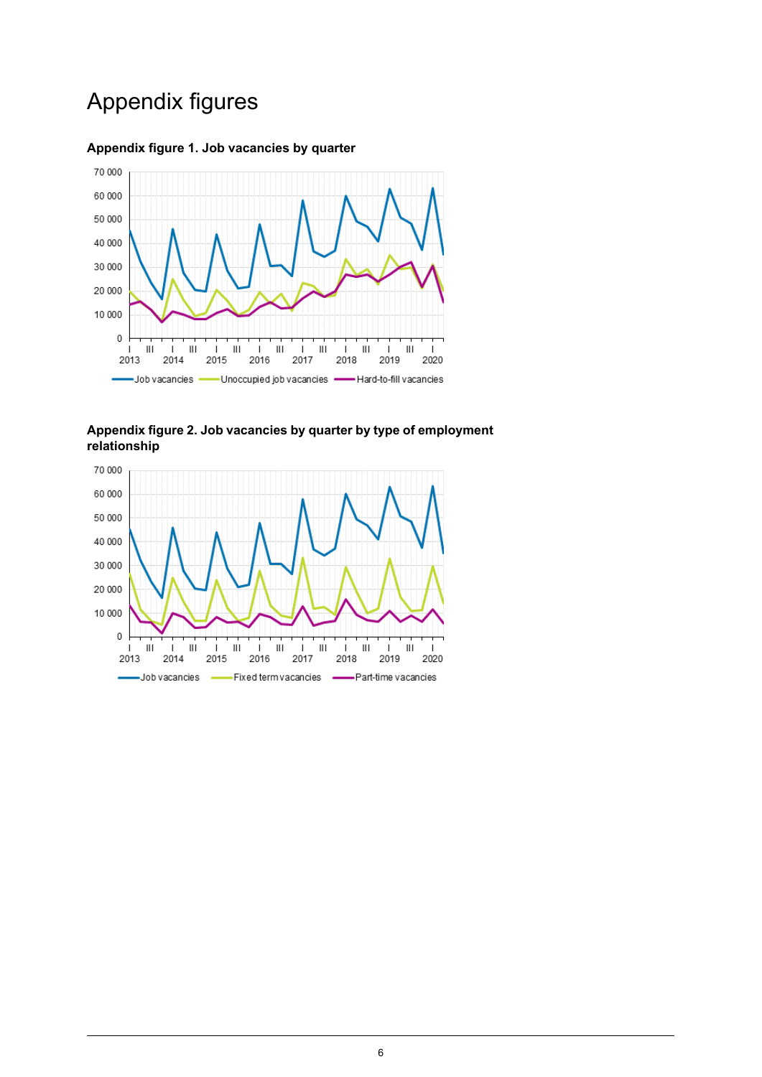# Appendix figures



### <span id="page-5-0"></span>**Appendix figure 1. Job vacancies by quarter**

<span id="page-5-1"></span>**Appendix figure 2. Job vacancies by quarter by type of employment relationship**